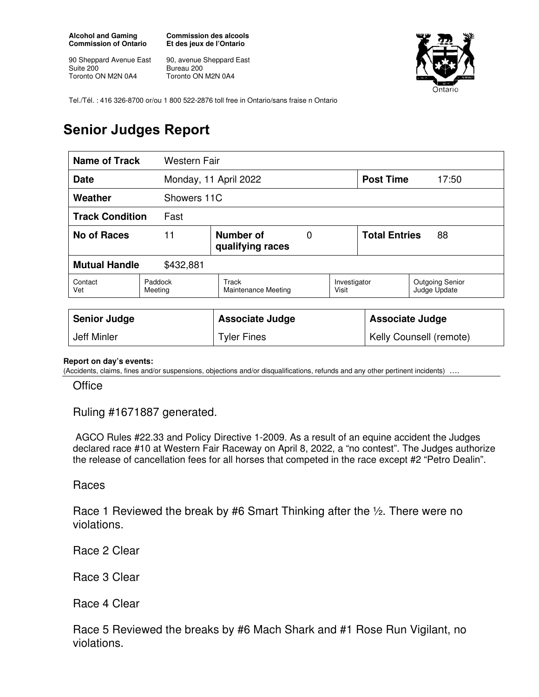**Alcohol and Gaming Commission of Ontario** 

90 Sheppard Avenue East Suite 200 Toronto ON M2N 0A4

**Commission des alcools Et des jeux de l'Ontario** 

90, avenue Sheppard East Bureau 200 Toronto ON M2N 0A4



Tel./Tél. : 416 326-8700 or/ou 1 800 522-2876 toll free in Ontario/sans fraise n Ontario

## **Senior Judges Report**

| Name of Track<br><b>Western Fair</b> |                    |                                            |  |                         |                            |                                        |
|--------------------------------------|--------------------|--------------------------------------------|--|-------------------------|----------------------------|----------------------------------------|
| <b>Date</b>                          |                    | Monday, 11 April 2022                      |  | <b>Post Time</b>        | 17:50                      |                                        |
| Weather                              |                    | Showers 11C                                |  |                         |                            |                                        |
| <b>Track Condition</b><br>Fast       |                    |                                            |  |                         |                            |                                        |
| No of Races                          | 11                 | Number of<br>0<br>qualifying races         |  |                         | <b>Total Entries</b><br>88 |                                        |
| <b>Mutual Handle</b><br>\$432,881    |                    |                                            |  |                         |                            |                                        |
| Contact<br>Vet                       | Paddock<br>Meeting | <b>Track</b><br><b>Maintenance Meeting</b> |  | Investigator<br>Visit   |                            | <b>Outgoing Senior</b><br>Judge Update |
|                                      |                    |                                            |  |                         |                            |                                        |
| <b>Senior Judge</b>                  |                    | <b>Associate Judge</b>                     |  | <b>Associate Judge</b>  |                            |                                        |
| Jeff Minler                          |                    | <b>Tyler Fines</b>                         |  | Kelly Counsell (remote) |                            |                                        |

## **Report on day's events:**

(Accidents, claims, fines and/or suspensions, objections and/or disqualifications, refunds and any other pertinent incidents) ….

**Office** 

Ruling #1671887 generated.

 AGCO Rules #22.33 and Policy Directive 1-2009. As a result of an equine accident the Judges declared race #10 at Western Fair Raceway on April 8, 2022, a "no contest". The Judges authorize the release of cancellation fees for all horses that competed in the race except #2 "Petro Dealin".

## Races

Race 1 Reviewed the break by #6 Smart Thinking after the ½. There were no violations.

Race 2 Clear

Race 3 Clear

Race 4 Clear

Race 5 Reviewed the breaks by #6 Mach Shark and #1 Rose Run Vigilant, no violations.